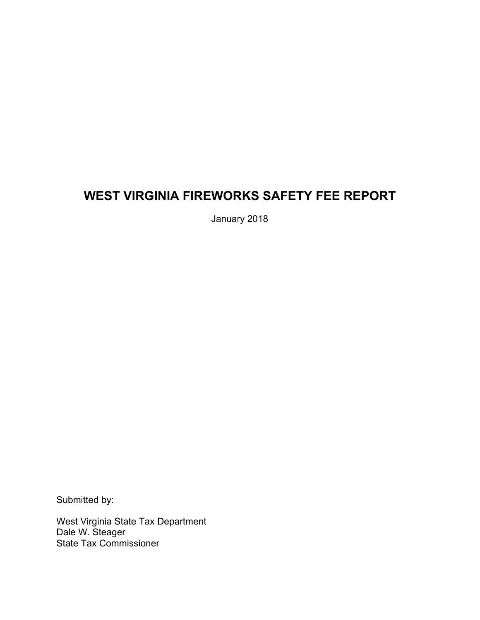# **WEST VIRGINIA FIREWORKS SAFETY FEE REPORT**

January 2018

Submitted by:

West Virginia State Tax Department Dale W. Steager State Tax Commissioner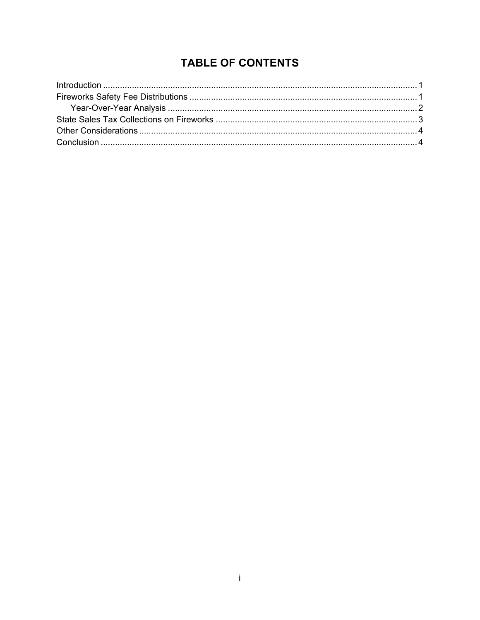# **TABLE OF CONTENTS**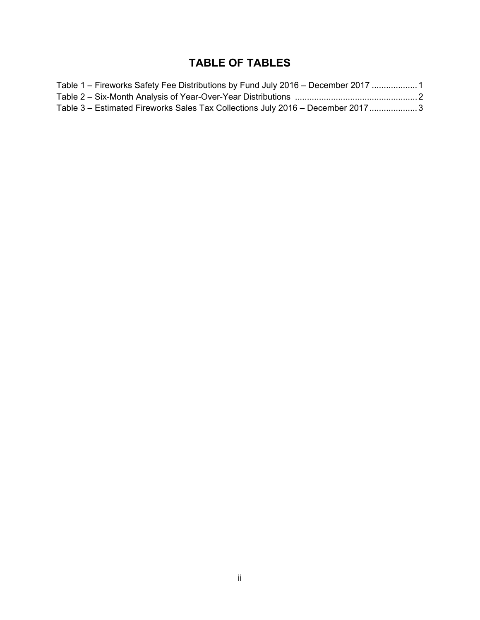# **TABLE OF TABLES**

| Table 1 – Fireworks Safety Fee Distributions by Fund July 2016 – December 2017 1 |  |
|----------------------------------------------------------------------------------|--|
|                                                                                  |  |
| Table 3 – Estimated Fireworks Sales Tax Collections July 2016 – December 20173   |  |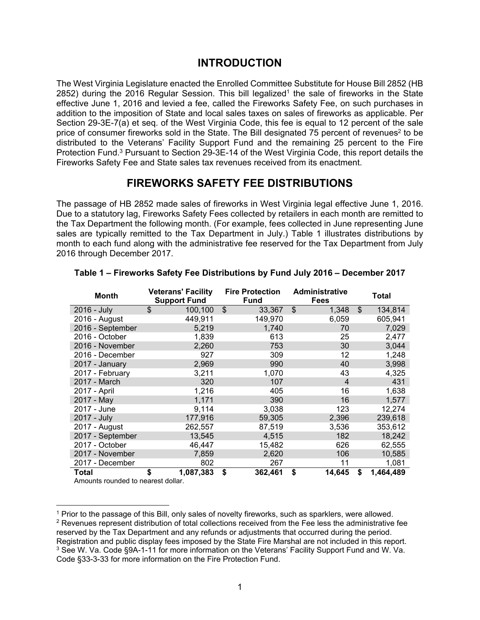### **INTRODUCTION**

The West Virginia Legislature enacted the Enrolled Committee Substitute for House Bill 2852 (HB  $2852$ ) during the 2016 Regular Session. This bill legalized<sup>1</sup> the sale of fireworks in the State effective June 1, 2016 and levied a fee, called the Fireworks Safety Fee, on such purchases in addition to the imposition of State and local sales taxes on sales of fireworks as applicable. Per Section 29-3E-7(a) et seq. of the West Virginia Code, this fee is equal to 12 percent of the sale price of consumer fireworks sold in the State. The Bill designated 75 percent of revenues<sup>2</sup> to be distributed to the Veterans' Facility Support Fund and the remaining 25 percent to the Fire Protection Fund.3 Pursuant to Section 29-3E-14 of the West Virginia Code, this report details the Fireworks Safety Fee and State sales tax revenues received from its enactment.

### **FIREWORKS SAFETY FEE DISTRIBUTIONS**

The passage of HB 2852 made sales of fireworks in West Virginia legal effective June 1, 2016. Due to a statutory lag, Fireworks Safety Fees collected by retailers in each month are remitted to the Tax Department the following month. (For example, fees collected in June representing June sales are typically remitted to the Tax Department in July.) Table 1 illustrates distributions by month to each fund along with the administrative fee reserved for the Tax Department from July 2016 through December 2017.

| <b>Month</b>     | <b>Veterans' Facility</b><br><b>Support Fund</b> |                           | <b>Fire Protection</b><br><b>Fund</b> | Administrative<br><b>Fees</b>      | Total           |
|------------------|--------------------------------------------------|---------------------------|---------------------------------------|------------------------------------|-----------------|
| 2016 - July      | \$<br>100,100                                    | $\boldsymbol{\mathsf{S}}$ | 33,367                                | $\boldsymbol{\mathsf{S}}$<br>1,348 | \$<br>134,814   |
| 2016 - August    | 449,911                                          |                           | 149,970                               | 6,059                              | 605,941         |
| 2016 - September | 5,219                                            |                           | 1,740                                 | 70                                 | 7,029           |
| 2016 - October   | 1,839                                            |                           | 613                                   | 25                                 | 2,477           |
| 2016 - November  | 2,260                                            |                           | 753                                   | 30                                 | 3,044           |
| 2016 - December  | 927                                              |                           | 309                                   | 12                                 | 1,248           |
| 2017 - January   | 2,969                                            |                           | 990                                   | 40                                 | 3,998           |
| 2017 - February  | 3,211                                            |                           | 1,070                                 | 43                                 | 4,325           |
| 2017 - March     | 320                                              |                           | 107                                   | 4                                  | 431             |
| 2017 - April     | 1,216                                            |                           | 405                                   | 16                                 | 1,638           |
| 2017 - May       | 1,171                                            |                           | 390                                   | 16                                 | 1,577           |
| 2017 - June      | 9,114                                            |                           | 3,038                                 | 123                                | 12,274          |
| 2017 - July      | 177,916                                          |                           | 59,305                                | 2,396                              | 239,618         |
| 2017 - August    | 262,557                                          |                           | 87,519                                | 3,536                              | 353,612         |
| 2017 - September | 13,545                                           |                           | 4,515                                 | 182                                | 18,242          |
| 2017 - October   | 46,447                                           |                           | 15,482                                | 626                                | 62,555          |
| 2017 - November  | 7,859                                            |                           | 2,620                                 | 106                                | 10,585          |
| 2017 - December  | 802                                              |                           | 267                                   | 11                                 | 1,081           |
| Total            | \$<br>1,087,383                                  | \$                        | 362,461                               | \$<br>14,645                       | \$<br>1,464,489 |

#### **Table 1 – Fireworks Safety Fee Distributions by Fund July 2016 – December 2017**

Amounts rounded to nearest dollar.

 $\overline{a}$ 1 Prior to the passage of this Bill, only sales of novelty fireworks, such as sparklers, were allowed.  $2$  Revenues represent distribution of total collections received from the Fee less the administrative fee reserved by the Tax Department and any refunds or adjustments that occurred during the period. Registration and public display fees imposed by the State Fire Marshal are not included in this report. <sup>3</sup> See W. Va. Code §9A-1-11 for more information on the Veterans' Facility Support Fund and W. Va. Code §33-3-33 for more information on the Fire Protection Fund.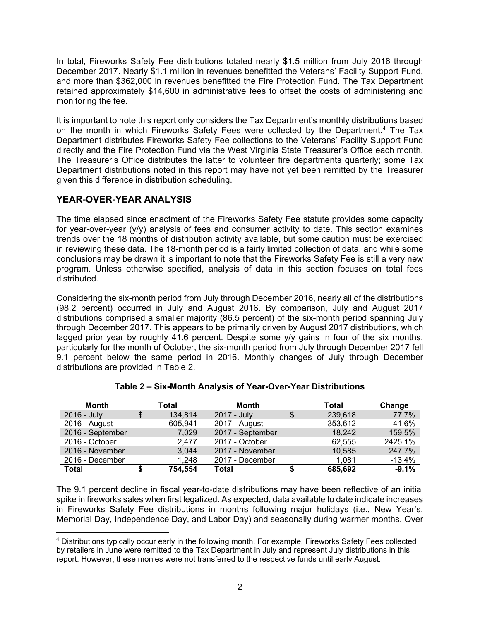In total, Fireworks Safety Fee distributions totaled nearly \$1.5 million from July 2016 through December 2017. Nearly \$1.1 million in revenues benefitted the Veterans' Facility Support Fund, and more than \$362,000 in revenues benefitted the Fire Protection Fund. The Tax Department retained approximately \$14,600 in administrative fees to offset the costs of administering and monitoring the fee.

It is important to note this report only considers the Tax Department's monthly distributions based on the month in which Fireworks Safety Fees were collected by the Department.<sup>4</sup> The Tax Department distributes Fireworks Safety Fee collections to the Veterans' Facility Support Fund directly and the Fire Protection Fund via the West Virginia State Treasurer's Office each month. The Treasurer's Office distributes the latter to volunteer fire departments quarterly; some Tax Department distributions noted in this report may have not yet been remitted by the Treasurer given this difference in distribution scheduling.

### **YEAR-OVER-YEAR ANALYSIS**

The time elapsed since enactment of the Fireworks Safety Fee statute provides some capacity for year-over-year (y/y) analysis of fees and consumer activity to date. This section examines trends over the 18 months of distribution activity available, but some caution must be exercised in reviewing these data. The 18-month period is a fairly limited collection of data, and while some conclusions may be drawn it is important to note that the Fireworks Safety Fee is still a very new program. Unless otherwise specified, analysis of data in this section focuses on total fees distributed.

Considering the six-month period from July through December 2016, nearly all of the distributions (98.2 percent) occurred in July and August 2016. By comparison, July and August 2017 distributions comprised a smaller majority (86.5 percent) of the six-month period spanning July through December 2017. This appears to be primarily driven by August 2017 distributions, which lagged prior year by roughly 41.6 percent. Despite some y/y gains in four of the six months, particularly for the month of October, the six-month period from July through December 2017 fell 9.1 percent below the same period in 2016. Monthly changes of July through December distributions are provided in Table 2.

| <b>Month</b>     | Total         | Month            |   | Total   | Change   |
|------------------|---------------|------------------|---|---------|----------|
| 2016 - July      | \$<br>134,814 | 2017 - July      | S | 239,618 | 77.7%    |
| 2016 - August    | 605,941       | 2017 - August    |   | 353,612 | -41.6%   |
| 2016 - September | 7,029         | 2017 - September |   | 18,242  | 159.5%   |
| 2016 - October   | 2.477         | 2017 - October   |   | 62,555  | 2425.1%  |
| 2016 - November  | 3,044         | 2017 - November  |   | 10,585  | 247.7%   |
| 2016 - December  | 1,248         | 2017 - December  |   | 1.081   | $-13.4%$ |
| <b>Total</b>     | 754,554       | Total            | S | 685,692 | $-9.1%$  |

#### **Table 2 – Six-Month Analysis of Year-Over-Year Distributions**

The 9.1 percent decline in fiscal year-to-date distributions may have been reflective of an initial spike in fireworks sales when first legalized. As expected, data available to date indicate increases in Fireworks Safety Fee distributions in months following major holidays (i.e., New Year's, Memorial Day, Independence Day, and Labor Day) and seasonally during warmer months. Over

 $\overline{a}$ 4 Distributions typically occur early in the following month. For example, Fireworks Safety Fees collected by retailers in June were remitted to the Tax Department in July and represent July distributions in this report. However, these monies were not transferred to the respective funds until early August.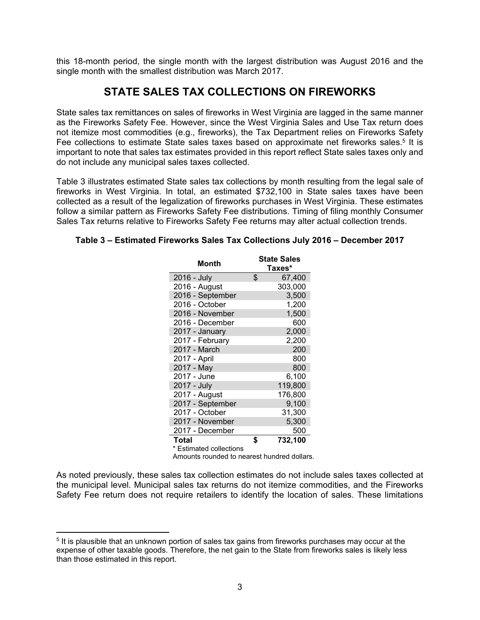this 18-month period, the single month with the largest distribution was August 2016 and the single month with the smallest distribution was March 2017.

## **STATE SALES TAX COLLECTIONS ON FIREWORKS**

State sales tax remittances on sales of fireworks in West Virginia are lagged in the same manner as the Fireworks Safety Fee. However, since the West Virginia Sales and Use Tax return does not itemize most commodities (e.g., fireworks), the Tax Department relies on Fireworks Safety Fee collections to estimate State sales taxes based on approximate net fireworks sales.<sup>5</sup> It is important to note that sales tax estimates provided in this report reflect State sales taxes only and do not include any municipal sales taxes collected.

Table 3 illustrates estimated State sales tax collections by month resulting from the legal sale of fireworks in West Virginia. In total, an estimated \$732,100 in State sales taxes have been collected as a result of the legalization of fireworks purchases in West Virginia. These estimates follow a similar pattern as Fireworks Safety Fee distributions. Timing of filing monthly Consumer Sales Tax returns relative to Fireworks Safety Fee returns may alter actual collection trends.

| Month                                       | <b>State Sales</b><br>Taxes* |
|---------------------------------------------|------------------------------|
| 2016 - July                                 | \$<br>67,400                 |
| 2016 - August                               | 303,000                      |
| 2016 - September                            | 3,500                        |
| 2016 - October                              | 1,200                        |
| 2016 - November                             | 1,500                        |
| 2016 - December                             | 600                          |
| 2017 - January                              | 2,000                        |
| 2017 - February                             | 2,200                        |
| 2017 - March                                | 200                          |
| 2017 - April                                | 800                          |
| 2017 - May                                  | 800                          |
| 2017 - June                                 | 6,100                        |
| 2017 - July                                 | 119,800                      |
| 2017 - August                               | 176,800                      |
| 2017 - September                            | 9,100                        |
| 2017 - October                              | 31,300                       |
| 2017 - November                             | 5,300                        |
| 2017 - December                             | 500                          |
| Total                                       | \$<br>732.100                |
| * Estimated collections                     |                              |
| Amounts rounded to nearest hundred dollars. |                              |

#### **Table 3 – Estimated Fireworks Sales Tax Collections July 2016 – December 2017**

As noted previously, these sales tax collection estimates do not include sales taxes collected at the municipal level. Municipal sales tax returns do not itemize commodities, and the Fireworks Safety Fee return does not require retailers to identify the location of sales. These limitations

 $\overline{a}$ 

<sup>5</sup> It is plausible that an unknown portion of sales tax gains from fireworks purchases may occur at the expense of other taxable goods. Therefore, the net gain to the State from fireworks sales is likely less than those estimated in this report.